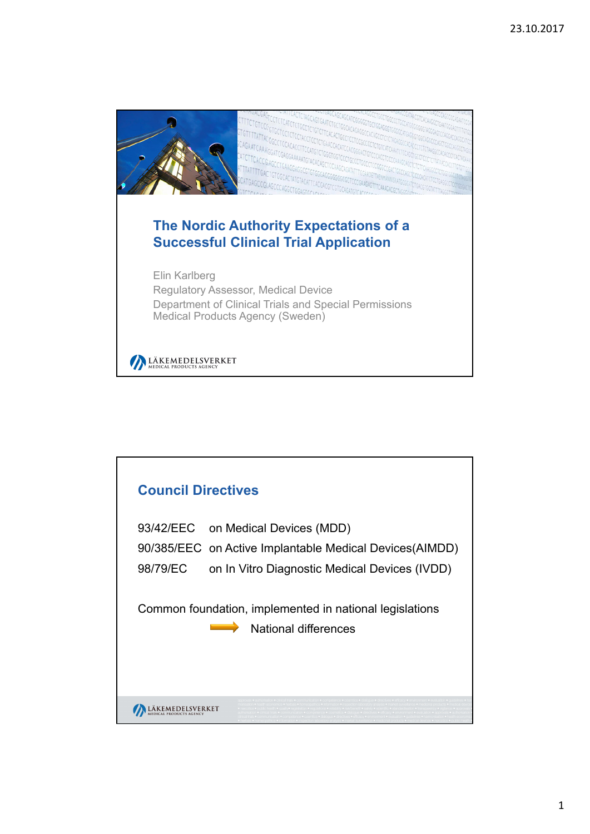

| <b>Council Directives</b>                                                                                  |                                               |                      |  |  |
|------------------------------------------------------------------------------------------------------------|-----------------------------------------------|----------------------|--|--|
| 93/42/EEC on Medical Devices (MDD)<br>90/385/EEC on Active Implantable Medical Devices (AIMDD)<br>98/79/EC | on In Vitro Diagnostic Medical Devices (IVDD) |                      |  |  |
| Common foundation, implemented in national legislations                                                    |                                               | National differences |  |  |
|                                                                                                            |                                               |                      |  |  |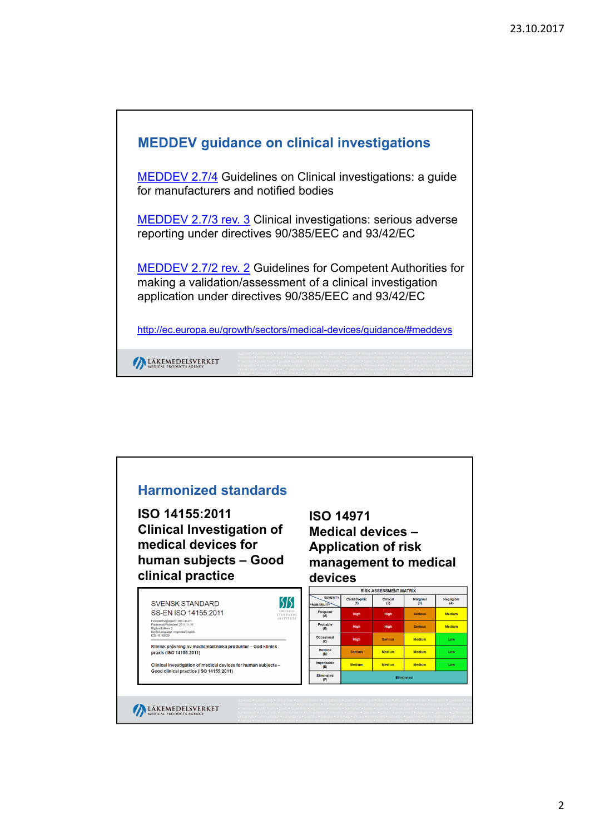

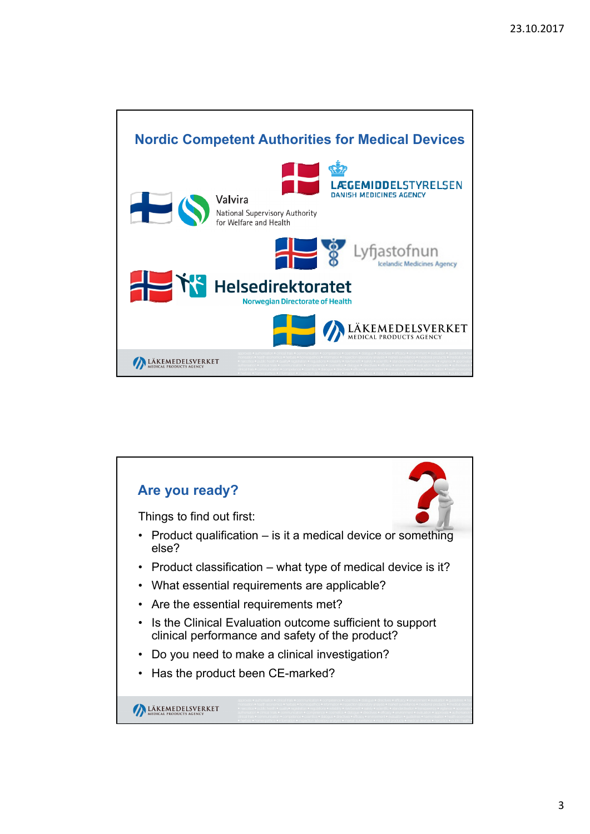

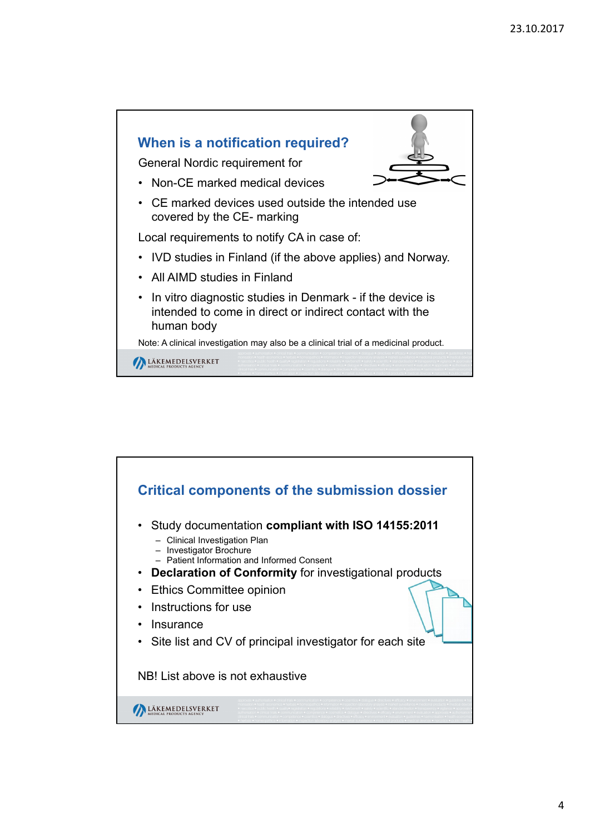

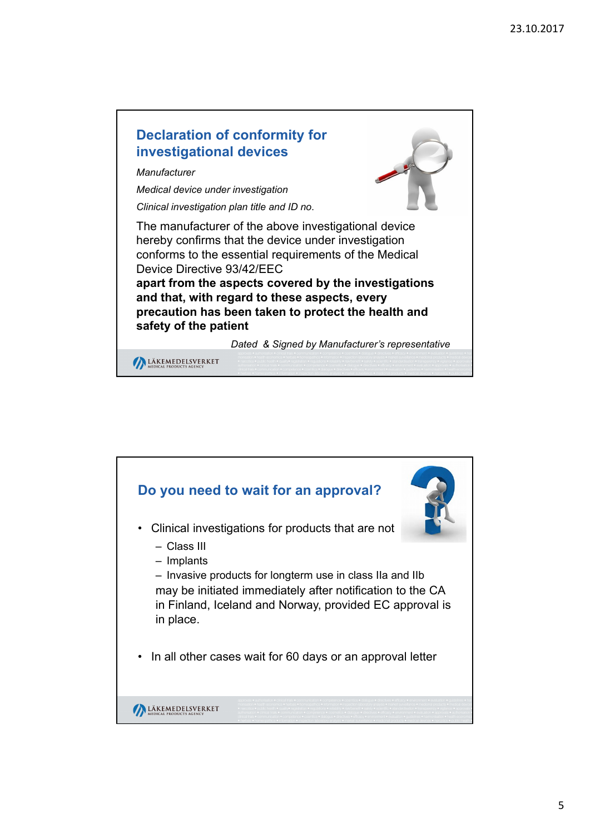

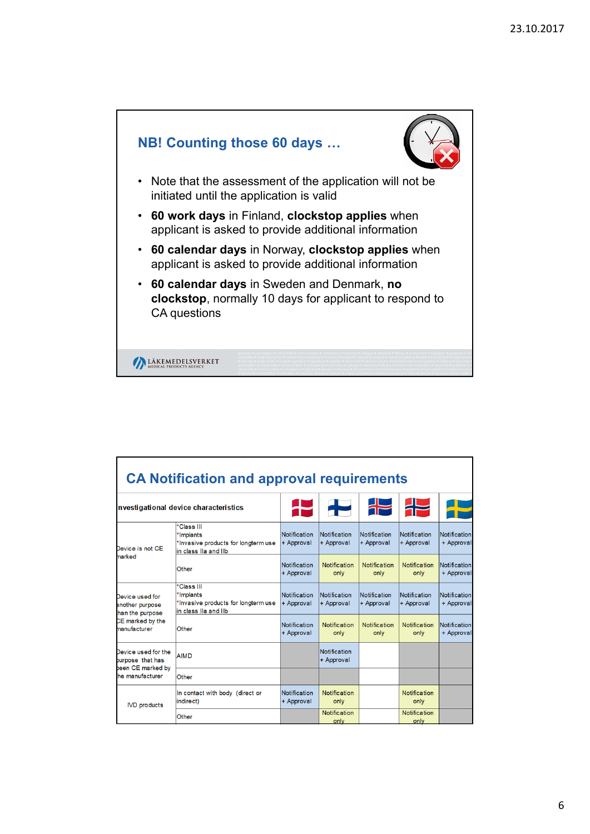

|                                                              | <b>CA Notification and approval requirements</b>                                       |                                   |                                   |                             |                             |                                   |
|--------------------------------------------------------------|----------------------------------------------------------------------------------------|-----------------------------------|-----------------------------------|-----------------------------|-----------------------------|-----------------------------------|
|                                                              | nvestigational device characteristics                                                  |                                   | $\ddot{\phantom{1}}$              | ╬                           | ╬                           |                                   |
| Device is not CE                                             | *Class III<br>*Implants<br>*Invasive products for longterm use<br>in class IIa and IIb | Notification<br>+ Approval        | Notification<br>+ Approval        | Notification<br>+ Approval  | Notification<br>+ Approval  | <b>Notification</b><br>+ Approval |
| marked                                                       | Other                                                                                  | <b>Notification</b><br>+ Approval | <b>Notification</b><br>only       | Notification<br>only        | <b>Notification</b><br>only | <b>Notification</b><br>+ Approval |
| Device used for<br>another purpose<br>han the purpose        | *Class III<br>*Implants<br>*Invasive products for longterm use<br>in class IIa and IIb | Notification<br>+ Approval        | Notification<br>+ Approval        | Notification<br>+ Approval  | Notification<br>+ Approval  | Notification<br>+ Approval        |
| CE marked by the<br>manufacturer                             | Other                                                                                  | <b>Notification</b><br>+ Approval | <b>Notification</b><br>only       | <b>Notification</b><br>only | <b>Notification</b><br>only | <b>Notification</b><br>+ Approval |
| Device used for the<br>burpose that has<br>been CE marked by | <b>AIMD</b>                                                                            |                                   | <b>Notification</b><br>+ Approval |                             |                             |                                   |
| he manufacturer                                              | Other                                                                                  |                                   |                                   |                             |                             |                                   |
| <b>IVD</b> products                                          | In contact with body (direct or<br>lindirect)                                          | Notification<br>+ Approval        | <b>Notification</b><br>only       |                             | <b>Notification</b><br>only |                                   |
|                                                              | Other                                                                                  |                                   | Notification<br>only              |                             | <b>Notification</b><br>only |                                   |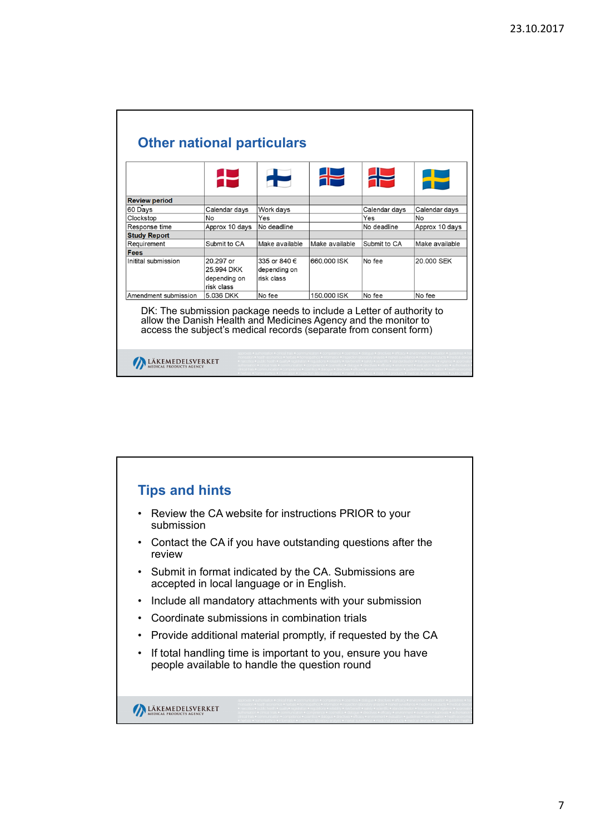| <b>Review period</b>                                                                                                                                                                                                                 |                                                       |                                            |                |               |                |
|--------------------------------------------------------------------------------------------------------------------------------------------------------------------------------------------------------------------------------------|-------------------------------------------------------|--------------------------------------------|----------------|---------------|----------------|
| 60 Days                                                                                                                                                                                                                              | Calendar days                                         | Work days                                  |                | Calendar days | Calendar days  |
| Clockstop                                                                                                                                                                                                                            | No                                                    | Yes                                        |                | Yes           | No             |
| Response time                                                                                                                                                                                                                        | Approx 10 days                                        | No deadline                                |                | No deadline   | Approx 10 days |
| <b>Study Report</b>                                                                                                                                                                                                                  |                                                       |                                            |                |               |                |
| Requirement                                                                                                                                                                                                                          | Submit to CA                                          | Make available                             | Make available | Submit to CA  | Make available |
| Fees                                                                                                                                                                                                                                 |                                                       |                                            |                |               |                |
| Initital submission                                                                                                                                                                                                                  | 20.297 or<br>25.994 DKK<br>depending on<br>risk class | 335 or 840 €<br>depending on<br>risk class | 660.000 ISK    | No fee        | 20.000 SEK     |
|                                                                                                                                                                                                                                      | 5.036 DKK                                             | No fee                                     | 150,000 ISK    | No fee        | No fee         |
| Amendment submission<br>DK: The submission package needs to include a Letter of authority to<br>allow the Danish Health and Medicines Agency and the monitor to<br>access the subject's medical records (separate from consent form) |                                                       |                                            |                |               |                |